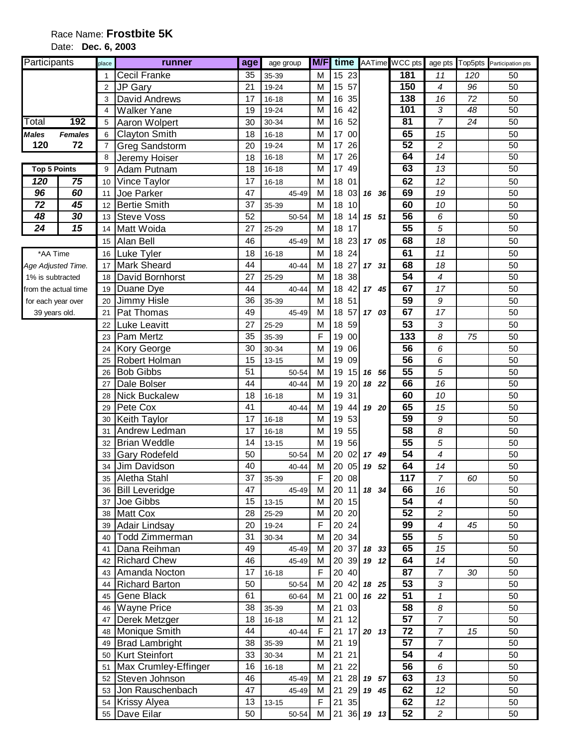## Date: **Dec. 6, 2003**

| <b>Participants</b>  |                | place          | runner                       | age      | age group      | M/F         | time  |                |                     | AATime WCC pts        |                                            |     | age pts Top5pts Participation pts |
|----------------------|----------------|----------------|------------------------------|----------|----------------|-------------|-------|----------------|---------------------|-----------------------|--------------------------------------------|-----|-----------------------------------|
|                      |                |                | <b>Cecil Franke</b>          | 35       | 35-39          | М           |       | 15 23          |                     | 181                   | 11                                         | 120 | 50                                |
|                      |                | $\overline{2}$ | JP Gary                      | 21       | 19-24          | М           |       | 15 57          |                     | 150                   | 4                                          | 96  | 50                                |
|                      |                | 3              | David Andrews                | 17       | $16 - 18$      | M           |       | 16 35          |                     | 138                   | 16                                         | 72  | 50                                |
|                      |                | 4              | <b>Walker Yane</b>           | 19       | 19-24          | M           |       | 16 42          |                     | 101                   | 3                                          | 48  | 50                                |
| Total                | 192            | 5              | Aaron Wolpert                | 30       | 30-34          | М           |       | 16 52          |                     | $\overline{81}$       | 7                                          | 24  | 50                                |
| <b>Males</b>         | <b>Females</b> | 6              | <b>Clayton Smith</b>         | 18       | $16 - 18$      | M           |       | 17 00          |                     | 65                    | 15                                         |     | 50                                |
| 120                  | 72             | $\overline{7}$ | Greg Sandstorm               | 20       | 19-24          | M           | 17    | 26             |                     | 52                    | $\overline{c}$                             |     | $\overline{50}$                   |
|                      |                | 8              | Jeremy Hoiser                | 18       | 16-18          | М           |       | 17 26          |                     | 64                    | 14                                         |     | 50                                |
| <b>Top 5 Points</b>  |                | 9              | Adam Putnam                  | 18       | $16 - 18$      | М           |       | 17 49          |                     | 63                    | $\overline{13}$                            |     | 50                                |
| 120                  | 75             | 10             | Vince Taylor                 | 17       | 16-18          | M           |       | 18 01          |                     | 62                    | 12                                         |     | 50                                |
| 96                   | 60             | 11             | Joe Parker                   | 47       | 45-49          | М           |       |                | 18 03 16 36         | 69                    | 19                                         |     | 50                                |
| 72                   | 45             | 12             | <b>Bertie Smith</b>          | 37       | 35-39          | М           |       | 18 10          |                     | 60                    | 10                                         |     | 50                                |
| 48                   | 30             | 13             | <b>Steve Voss</b>            | 52       | 50-54          | М           |       | 18 14          | 15 51               | $\overline{56}$       | 6                                          |     | 50                                |
| $\overline{24}$      | 15             | 14             | Matt Woida                   | 27       | 25-29          | м           |       | 18 17          |                     | $\overline{55}$       | 5                                          |     | 50                                |
|                      |                | 15             | Alan Bell                    | 46       | 45-49          | M           |       | 18 23          | 17 05               | 68                    | 18                                         |     | 50                                |
| *AA Time             |                | 16             | Luke Tyler                   | 18       | $16 - 18$      | М           |       | 18 24          |                     | 61                    | 11                                         |     | 50                                |
| Age Adjusted Time.   |                | 17             | <b>Mark Sheard</b>           | 44       | 40-44          | М           |       | 18 27          | 17 31               | 68                    | 18                                         |     | 50                                |
| 1% is subtracted     |                | 18             | David Bornhorst              | 27       | 25-29          | М           |       | 18 38          |                     | 54                    | $\overline{4}$                             |     | 50                                |
| from the actual time |                | 19             | Duane Dye                    | 44       | 40-44          | M           |       |                | 18 42 17 45         | 67                    | 17                                         |     | 50                                |
| for each year over   |                | 20             | Jimmy Hisle                  | 36       | 35-39          | M           | 18 51 |                |                     | 59                    | 9                                          |     | 50                                |
| 39 years old.        |                | 21             | Pat Thomas                   | 49       | 45-49          | м           |       |                | 18 57 17 03         | 67                    | 17                                         |     | 50                                |
|                      |                | 22             | Luke Leavitt                 | 27       | 25-29          | м           |       | 18 59          |                     | 53                    | 3                                          |     | 50                                |
|                      |                | 23             | Pam Mertz                    | 35       | 35-39          | F           |       | 19 00          |                     | 133                   | 8                                          | 75  | 50                                |
|                      |                | 24             | <b>Kory George</b>           | 30       | 30-34          | M           |       | 19 06          |                     | 56                    | 6                                          |     | 50                                |
|                      |                | 25             | Robert Holman                | 15       | $13 - 15$      | M           |       | 19 09          |                     | 56                    | 6                                          |     | 50                                |
|                      |                | 26             | <b>Bob Gibbs</b>             | 51       | 50-54          | M           | 19    |                | 15 16 56            | 55                    | 5                                          |     | 50                                |
|                      |                | 27             | Dale Bolser                  | 44       | 40-44          | M           | 19    | 20             | 18 22               | 66                    | 16                                         |     | 50                                |
|                      |                | 28             | <b>Nick Buckalew</b>         | 18       | 16-18          | M           | 19    | 31             |                     | 60                    | 10                                         |     | 50                                |
|                      |                | 29             | Pete Cox                     | 41       | 40-44          | М           | 19    | 44             | 19 20               | 65                    | 15                                         |     | 50                                |
|                      |                | 30             | <b>Keith Taylor</b>          | 17       | $16 - 18$      | M           |       | 19 53          |                     | 59                    | 9                                          |     | 50                                |
|                      |                | 31             | Andrew Ledman                | 17       | $16 - 18$      | M           |       | 19 55          |                     | 58                    | 8                                          |     | 50                                |
|                      |                | 32             | <b>Brian Weddle</b>          | 14       | $13 - 15$      | М           |       | 19 56          |                     | $\overline{55}$       | 5                                          |     | 50                                |
|                      |                | 33             | <b>Gary Rodefeld</b>         | 50       | 50-54          | М           | 20    | 02             | 17 49               | $\overline{54}$<br>64 | 4                                          |     | 50                                |
|                      |                | 34             | Jim Davidson<br>Aletha Stahl | 40<br>37 | 40-44          | М<br>F      |       | 20 05<br>20 08 | 19 52               | 117                   | 14                                         |     | 50                                |
|                      |                | 35             |                              | 47       | 35-39          |             |       |                |                     | 66                    | 7                                          | 60  | 50                                |
|                      |                |                | 36 Bill Leveridge            | 15       | 45-49          | м<br>M      |       | 20 15          | 20 11 18 34         | 54                    | 16<br>$\boldsymbol{4}$                     |     | 50<br>50                          |
|                      |                |                | 37 Joe Gibbs<br>38 Matt Cox  | 28       | $13 - 15$      | M           |       | 20 20          |                     | 52                    |                                            |     | 50                                |
|                      |                |                | 39 Adair Lindsay             | 20       | 25-29<br>19-24 | $\mathsf F$ |       | 20 24          |                     | 99                    | $\overline{c}$<br>$\overline{\mathcal{A}}$ | 45  | 50                                |
|                      |                |                | 40   Todd Zimmerman          | 31       | 30-34          | М           |       | 20 34          |                     | 55                    | $\sqrt{5}$                                 |     | 50                                |
|                      |                |                | 41 Dana Reihman              | 49       | 45-49          | М           |       |                | 20 37 18 33         | 65                    | 15                                         |     | 50                                |
|                      |                |                | 42 Richard Chew              | 46       | 45-49          | М           |       |                | 20 39 19 12         | 64                    | 14                                         |     | 50                                |
|                      |                |                | 43 Amanda Nocton             | 17       | $16 - 18$      | F.          |       | 20 40          |                     | 87                    | $\overline{7}$                             | 30  | 50                                |
|                      |                |                | 44 Richard Barton            | 50       | 50-54          | М           |       |                | $20 \t42 \t18 \t25$ | 53                    | 3                                          |     | 50                                |
|                      |                |                | 45 Gene Black                | 61       | 60-64          | М           |       |                | 21 00 16 22         | 51                    | 1                                          |     | 50                                |
|                      |                |                | 46 Wayne Price               | 38       | 35-39          | М           |       | 21 03          |                     | 58                    | $\boldsymbol{8}$                           |     | 50                                |
|                      |                |                | 47 Derek Metzger             | 18       | $16 - 18$      | М           |       | 21 12          |                     | 57                    | $\overline{7}$                             |     | 50                                |
|                      |                |                | 48 Monique Smith             | 44       | 40-44          | F.          |       |                | 21 17 20 13         | 72                    | $\overline{7}$                             | 15  | 50                                |
|                      |                |                | 49 Brad Lambright            | 38       | 35-39          | M           |       | 21 19          |                     | 57                    | $\overline{7}$                             |     | 50                                |
|                      |                |                | 50 Kurt Steinfort            | 33       | 30-34          | М           |       | 21 21          |                     | 54                    | $\boldsymbol{4}$                           |     | 50                                |
|                      |                |                | 51 Max Crumley-Effinger      | 16       | $16 - 18$      | М           | 21    | 22             |                     | 56                    | 6                                          |     | 50                                |
|                      |                |                | 52 Steven Johnson            | 46       | 45-49          | М           | 21    |                | 28 19 57            | 63                    | 13                                         |     | 50                                |
|                      |                |                | 53 Jon Rauschenbach          | 47       | 45-49          | м           |       |                | 21 29 19 45         | 62                    | 12                                         |     | 50                                |
|                      |                |                | 54 Krissy Alyea              | 13       | $13 - 15$      | $\mathsf F$ |       | 21 35          |                     | 62                    | 12 <sup>°</sup>                            |     | 50                                |
|                      |                |                | 55 Dave Eilar                | 50       | 50-54          | M           |       |                | 21 36 19 13         | 52                    | $\overline{c}$                             |     | 50                                |
|                      |                |                |                              |          |                |             |       |                |                     |                       |                                            |     |                                   |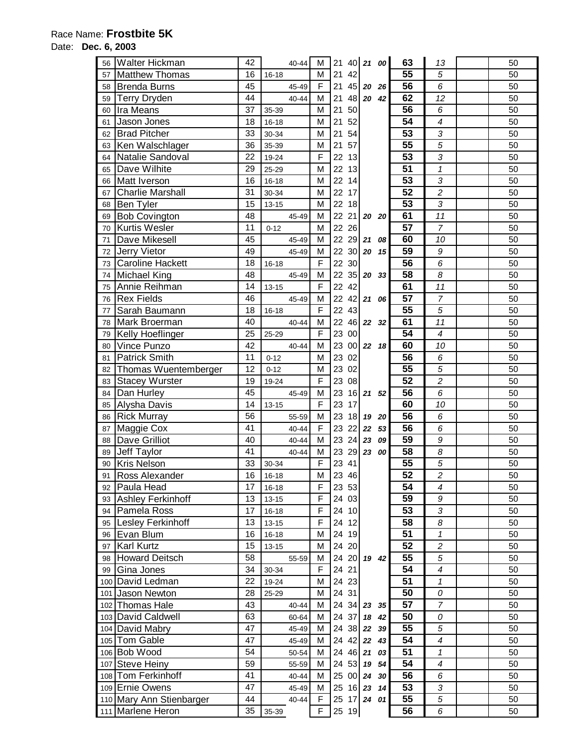## Date: **Dec. 6, 2003**

| 56 | Walter Hickman           | 42       | 40-44     | M           | 21 |        | 40 21 00       |       | 63              | 13                         | 50       |
|----|--------------------------|----------|-----------|-------------|----|--------|----------------|-------|-----------------|----------------------------|----------|
| 57 | <b>Matthew Thomas</b>    | 16       | $16 - 18$ | M           | 21 | 42     |                |       | 55              | 5                          | 50       |
| 58 | Brenda Burns             | 45       | 45-49     | F           | 21 | 45     |                | 20 26 | 56              | 6                          | 50       |
| 59 | <b>Terry Dryden</b>      | 44       | 40-44     | M           | 21 |        | 48 20          | 42    | 62              | 12                         | 50       |
| 60 | Ira Means                | 37       | 35-39     | M           | 21 | 50     |                |       | 56              | 6                          | 50       |
| 61 | Jason Jones              | 18       | $16 - 18$ | M           | 21 | 52     |                |       | 54              | $\overline{\mathcal{A}}$   | 50       |
| 62 | <b>Brad Pitcher</b>      | 33       | 30-34     | M           | 21 | 54     |                |       | 53              | 3                          | 50       |
| 63 | Ken Walschlager          | 36       | 35-39     | M           | 21 | 57     |                |       | 55              | 5                          | 50       |
| 64 | Natalie Sandoval         | 22       | 19-24     | F           | 22 | 13     |                |       | 53              | 3                          | 50       |
| 65 | Dave Wilhite             | 29       | 25-29     | M           | 22 | 13     |                |       | 51              | $\mathbf{1}$               | 50       |
| 66 | Matt Iverson             | 16       | 16-18     | M           | 22 | 14     |                |       | $\overline{53}$ | 3                          | 50       |
| 67 | <b>Charlie Marshall</b>  | 31       | 30-34     | M           | 22 | 17     |                |       | $\overline{52}$ | $\overline{c}$             | 50       |
|    | <b>Ben Tyler</b>         | 15       |           |             | 22 |        |                |       | 53              | 3                          | 50       |
| 68 |                          | 48       | $13 - 15$ | М           |    | 18     |                |       | 61              |                            |          |
| 69 | <b>Bob Covington</b>     |          | 45-49     | М           | 22 | 21     |                | 20 20 | $\overline{57}$ | 11                         | 50       |
| 70 | <b>Kurtis Wesler</b>     | 11       | $0 - 12$  | M           | 22 | 26     |                |       |                 | $\overline{7}$             | 50       |
| 71 | Dave Mikesell            | 45       | 45-49     | M           | 22 |        | $29$ 21        | 08    | 60              | 10                         | 50       |
| 72 | Jerry Vietor             | 49       | 45-49     | M           | 22 |        | $30$ 20        | 15    | 59              | 9                          | 50       |
| 73 | Caroline Hackett         | 18       | $16 - 18$ | F           | 22 | 30     |                |       | 56              | 6                          | 50       |
| 74 | Michael King             | 48       | 45-49     | M           | 22 |        | $35$ 20 33     |       | $\overline{58}$ | 8                          | 50       |
| 75 | Annie Reihman            | 14       | $13 - 15$ | F           | 22 | 42     |                |       | 61              | 11                         | 50       |
| 76 | <b>Rex Fields</b>        | 46       | 45-49     | M           | 22 |        | $42$ 21 06     |       | 57              | 7                          | 50       |
| 77 | Sarah Baumann            | 18       | $16 - 18$ | F           | 22 | 43     |                |       | 55              | 5                          | 50       |
| 78 | Mark Broerman            | 40       | 40-44     | M           | 22 |        | 46 22 32       |       | 61              | 11                         | 50       |
| 79 | <b>Kelly Hoeflinger</b>  | 25       | 25-29     | F           | 23 | $00\,$ |                |       | 54              | $\overline{\mathcal{A}}$   | 50       |
| 80 | Vince Punzo              | 42       | 40-44     | M           | 23 |        | $00 \ 22 \ 18$ |       | 60              | 10                         | 50       |
| 81 | <b>Patrick Smith</b>     | 11       | $0 - 12$  | М           | 23 | 02     |                |       | 56              | 6                          | 50       |
| 82 | Thomas Wuentemberger     | 12       | $0 - 12$  | M           | 23 | 02     |                |       | 55              | 5                          | 50       |
| 83 | <b>Stacey Wurster</b>    | 19       | 19-24     | $\mathsf F$ | 23 | 08     |                |       | 52              | $\overline{c}$             | 50       |
| 84 | Dan Hurley               | 45       | 45-49     | M           | 23 |        | $16$ 21        | 52    | 56              | 6                          | 50       |
| 85 | Alysha Davis             | 14       | $13 - 15$ | F           | 23 | 17     |                |       | 60              | 10                         | 50       |
| 86 | <b>Rick Murray</b>       | 56       | 55-59     | M           | 23 | 18     | 19             | 20    | 56              | 6                          | 50       |
| 87 | <b>Maggie Cox</b>        | 41       | 40-44     | $\mathsf F$ | 23 | 22     | 22             | 53    | 56              | 6                          | 50       |
| 88 | Dave Grilliot            | 40       | 40-44     | M           | 23 | 24     | 23             | 09    | 59              | 9                          | 50       |
| 89 | Jeff Taylor              | 41       | 40-44     | M           | 23 | 29     | 23             | 00    | 58              | 8                          | 50       |
| 90 | <b>Kris Nelson</b>       | 33       | 30-34     | F           | 23 | 41     |                |       | 55              | 5                          | 50       |
| 91 | <b>Ross Alexander</b>    | 16       | 16-18     | M           | 23 | 46     |                |       | $\overline{52}$ | $\overline{c}$             | 50       |
| 92 | Paula Head               | 17       | 16-18     | F           |    | 23 53  |                |       | 54              | $\overline{4}$             | 50       |
| 93 | Ashley Ferkinhoff        | 13       | $13 - 15$ | F           |    | 24 03  |                |       | 59              | 9                          | 50       |
| 94 | Pamela Ross              | 17       | $16 - 18$ | F           |    | 24 10  |                |       | 53              | 3                          | 50       |
| 95 | Lesley Ferkinhoff        | 13       | $13 - 15$ | F           |    | 24 12  |                |       | 58              | 8                          | 50       |
| 96 | Evan Blum                | 16       | $16 - 18$ | М           |    | 24 19  |                |       | 51              | $\mathbf{1}$               | 50       |
| 97 | <b>Karl Kurtz</b>        | 15       | $13 - 15$ | М           |    | 24 20  |                |       | 52              | $\boldsymbol{2}$           | 50       |
| 98 | Howard Deitsch           | 58       | 55-59     | М           |    |        | 24 20 19 42    |       | 55              | 5                          | 50       |
| 99 | Gina Jones               | 34       | 30-34     | F           |    | 24 21  |                |       | 54              | $\overline{\mathcal{A}}$   | 50       |
|    | 100 David Ledman         | 22       | 19-24     | M           |    | 24 23  |                |       | 51              | $\mathbf{1}$               | 50       |
|    | 101 Jason Newton         | 28       | 25-29     | M           |    | 24 31  |                |       | 50              | 0                          | 50       |
|    | 102 Thomas Hale          | 43       | 40-44     | M           | 24 |        | $34$ 23 35     |       | 57              | $\overline{7}$             | 50       |
|    |                          |          |           |             | 24 |        | 37 18 42       |       | 50              | 0                          | 50       |
|    | 103 David Caldwell       | 63<br>47 | 60-64     | M           |    |        | 38 22          |       | 55              |                            |          |
|    | 104 David Mabry          |          | 45-49     | М           | 24 |        |                | 39    | 54              | 5                          | 50       |
|    | 105 Tom Gable            | 47       | 45-49     | М           | 24 |        | 42 22          | 43    |                 | $\overline{\mathcal{A}}$   | 50       |
|    | 106 Bob Wood             | 54       | 50-54     | M           | 24 |        | 46 21 03       |       | 51              | $\boldsymbol{\mathcal{I}}$ | 50       |
|    | 107 Steve Heiny          | 59       | 55-59     | М           | 24 |        | $53$ 19        | 54    | 54              | 4                          | 50       |
|    | 108 Tom Ferkinhoff       | 41       | 40-44     | M           | 25 |        | $00$ 24        | 30    | 56              | 6                          | 50       |
|    | 109 Ernie Owens          | 47       | 45-49     | M           | 25 |        | $16$ 23        | 14    | 53              | 3                          | 50       |
|    | 110 Mary Ann Stienbarger | 44       | 40-44     | F           |    | 25 19  | 25 17 24 01    |       | 55<br>56        | 5<br>6                     | 50<br>50 |
|    | 111 Marlene Heron        | 35       | 35-39     | F           |    |        |                |       |                 |                            |          |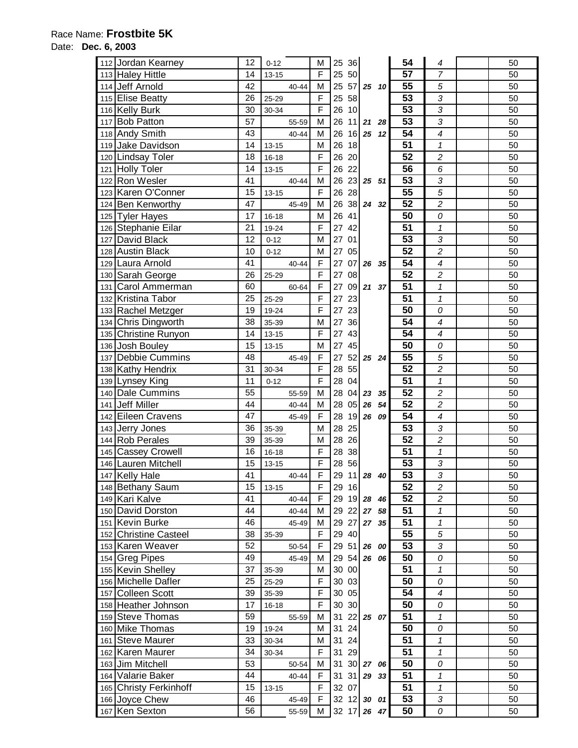## Date: **Dec. 6, 2003**

| 112 Jordan Kearney         | 12 | $0 - 12$  | M              | 25          | 36 |                      |    | 54              | 4                       | 50 |
|----------------------------|----|-----------|----------------|-------------|----|----------------------|----|-----------------|-------------------------|----|
| 113 Haley Hittle           | 14 | $13 - 15$ | F              | 25          | 50 |                      |    | 57              | $\overline{7}$          | 50 |
| 114 Jeff Arnold            | 42 | $40 - 44$ | M              | 25          |    | $57$ 25 10           |    | 55              | 5                       | 50 |
| 115 Elise Beatty           | 26 | 25-29     | F              | 25          | 58 |                      |    | 53              | 3                       | 50 |
| 116 Kelly Burk             | 30 | 30-34     | F              | 26          | 10 |                      |    | $\overline{53}$ | 3                       | 50 |
| 117 Bob Patton             | 57 | 55-59     | M              | 26          |    | $11$ 21              | 28 | $\overline{53}$ | 3                       | 50 |
|                            | 43 |           | M              | 26          |    | $16$ 25              |    | 54              | 4                       | 50 |
| 118 Andy Smith             | 14 | 40-44     | M              | 26          | 18 |                      | 12 | 51              | $\mathbf{1}$            | 50 |
| 119 Jake Davidson          | 18 | $13 - 15$ | F              | 26          | 20 |                      |    | 52              | $\overline{c}$          | 50 |
| 120 Lindsay Toler          |    | $16 - 18$ |                |             |    |                      |    |                 |                         |    |
| 121 Holly Toler            | 14 | $13 - 15$ | F              | 26          | 22 |                      |    | $\overline{56}$ | 6                       | 50 |
| 122 Ron Wesler             | 41 | 40-44     | M              | 26          |    | $23 \mid 25 \mid 51$ |    | $\overline{53}$ | 3                       | 50 |
| 123 Karen O'Conner         | 15 | $13 - 15$ | F              | 26          | 28 |                      |    | 55              | $\overline{5}$          | 50 |
| 124 Ben Kenworthy          | 47 | 45-49     | M              | 26          |    | 38 24 32             |    | $\overline{52}$ | $\overline{c}$          | 50 |
| 125 Tyler Hayes            | 17 | $16 - 18$ | M              | 26          | 41 |                      |    | $\overline{50}$ | 0                       | 50 |
| 126 Stephanie Eilar        | 21 | 19-24     | F              | 27          | 42 |                      |    | $\overline{51}$ | $\mathbf{1}$            | 50 |
| 127 David Black            | 12 | $0 - 12$  | M              | 27          | 01 |                      |    | $\overline{53}$ | 3                       | 50 |
| 128 Austin Black           | 10 | $0 - 12$  | M              | 27          | 05 |                      |    | 52              | $\overline{2}$          | 50 |
| 129 Laura Arnold           | 41 | 40-44     | $\mathsf{F}$   | 27          | 07 | 26                   | 35 | $\overline{54}$ | 4                       | 50 |
| 130 Sarah George           | 26 | 25-29     | F              | 27          | 08 |                      |    | $\overline{52}$ | $\overline{c}$          | 50 |
| 131 Carol Ammerman         | 60 | 60-64     | $\overline{F}$ | 27          |    | 09 21 37             |    | 51              | $\mathbf{1}$            | 50 |
| 132 Kristina Tabor         | 25 | 25-29     | F              | 27          | 23 |                      |    | $\overline{51}$ | $\overline{\mathbf{1}}$ | 50 |
| 133 Rachel Metzger         | 19 | 19-24     | F              | 27          | 23 |                      |    | $\overline{50}$ | 0                       | 50 |
| 134 Chris Dingworth        | 38 | 35-39     | M              | 27          | 36 |                      |    | 54              | 4                       | 50 |
| 135 Christine Runyon       | 14 | $13 - 15$ | $\mathsf F$    | 27          | 43 |                      |    | 54              | 4                       | 50 |
| 136 Josh Bouley            | 15 | $13 - 15$ | M              | 27          | 45 |                      |    | 50              | 0                       | 50 |
| Debbie Cummins<br>137      | 48 | 45-49     | F              | 27          |    | 52 25 24             |    | 55              | 5                       | 50 |
| 138 Kathy Hendrix          | 31 | 30-34     | F              | 28          | 55 |                      |    | 52              | $\overline{c}$          | 50 |
| 139 Lynsey King            | 11 | $0 - 12$  | F              | 28          | 04 |                      |    | $\overline{51}$ | $\mathbf{1}$            | 50 |
| 140 Dale Cummins           | 55 | 55-59     | M              | 28          | 04 | 23                   | 35 | $\overline{52}$ | $\overline{c}$          | 50 |
| 141 Jeff Miller            | 44 | 40-44     | M              | 28          | 05 | 26                   | 54 | $\overline{52}$ | $\overline{c}$          | 50 |
| 142 Eileen Cravens         | 47 | 45-49     | F              | 28          |    | 19 26 09             |    | 54              | 4                       | 50 |
| 143 Jerry Jones            | 36 | 35-39     | M              | 28          | 25 |                      |    | 53              | 3                       | 50 |
| 144 Rob Perales            | 39 | 35-39     | M              | 28          | 26 |                      |    | 52              | $\overline{c}$          | 50 |
| 145 Cassey Crowell         | 16 | $16 - 18$ | F              | 28          | 38 |                      |    | 51              | $\overline{\mathbf{1}}$ | 50 |
| 146 Lauren Mitchell        | 15 | $13 - 15$ | F              | 28          | 56 |                      |    | $\overline{53}$ | 3                       | 50 |
| 147 Kelly Hale             | 41 | $40 - 44$ | F              | 29          |    | $11$ 28 40           |    | $\overline{53}$ | $\overline{3}$          | 50 |
| <b>Bethany Saum</b><br>148 | 15 | $13 - 15$ | F              | 29 16       |    |                      |    | 52              | $\overline{c}$          | 50 |
| 149 Kari Kalve             | 41 | 40-44     | F              | 29          |    | 19 28 46             |    | 52              | $\overline{c}$          | 50 |
| 150 David Dorston          | 44 | 40-44     | M              | 29          |    | 22 27 58             |    | 51              | $\mathbf{1}$            | 50 |
| 151 Kevin Burke            | 46 | 45-49     | M              | 29          | 27 | 27 35                |    | 51              | $\mathbf{1}$            | 50 |
| 152 Christine Casteel      | 38 | 35-39     | F              | 29          | 40 |                      |    | 55              | 5                       | 50 |
| 153 Karen Weaver           | 52 | 50-54     | $\mathsf F$    | 29 51 26 00 |    |                      |    | 53              | 3                       | 50 |
| 154 Greg Pipes             | 49 | 45-49     | M              | 29          |    | 54 26 06             |    | 50              | 0                       | 50 |
| 155 Kevin Shelley          | 37 | 35-39     | M              | 30 00       |    |                      |    | 51              | $\mathbf{1}$            | 50 |
| 156 Michelle Dafler        | 25 | 25-29     | F              | 30 03       |    |                      |    | 50              | 0                       | 50 |
| 157 Colleen Scott          | 39 | 35-39     | F              | 30 05       |    |                      |    | 54              | 4                       | 50 |
| 158 Heather Johnson        | 17 | $16 - 18$ | F              | 30 30       |    |                      |    | 50              | 0                       | 50 |
| 159 Steve Thomas           | 59 | 55-59     | М              | 31          |    | 22 25 07             |    | $\overline{51}$ | $\mathbf{1}$            | 50 |
| 160 Mike Thomas            | 19 | 19-24     | М              | 31          | 24 |                      |    | 50              | 0                       | 50 |
| 161 Steve Maurer           | 33 | 30-34     | М              | 31          | 24 |                      |    | $\overline{51}$ | $\pmb{\mathcal{1}}$     | 50 |
| 162 Karen Maurer           | 34 | 30-34     | F              | 31          | 29 |                      |    | $\overline{51}$ | $\mathbf{1}$            | 50 |
| 163 Jim Mitchell           | 53 | 50-54     | M              | 31          |    | 30 27 06             |    | 50              | 0                       | 50 |
| 164 Valarie Baker          | 44 | 40-44     | F              | 31          | 31 | 29 33                |    | 51              | $\mathbf{1}$            | 50 |
| 165 Christy Ferkinhoff     | 15 | $13 - 15$ | F              | 32          | 07 |                      |    | 51              | $\mathbf{1}$            | 50 |
| 166 Joyce Chew             | 46 | 45-49     | $\mathsf F$    | 32 12 30 01 |    |                      |    | 53              | 3                       | 50 |
| 167 Ken Sexton             | 56 | 55-59     | M              | 32 17 26 47 |    |                      |    | 50              | 0                       | 50 |
|                            |    |           |                |             |    |                      |    |                 |                         |    |